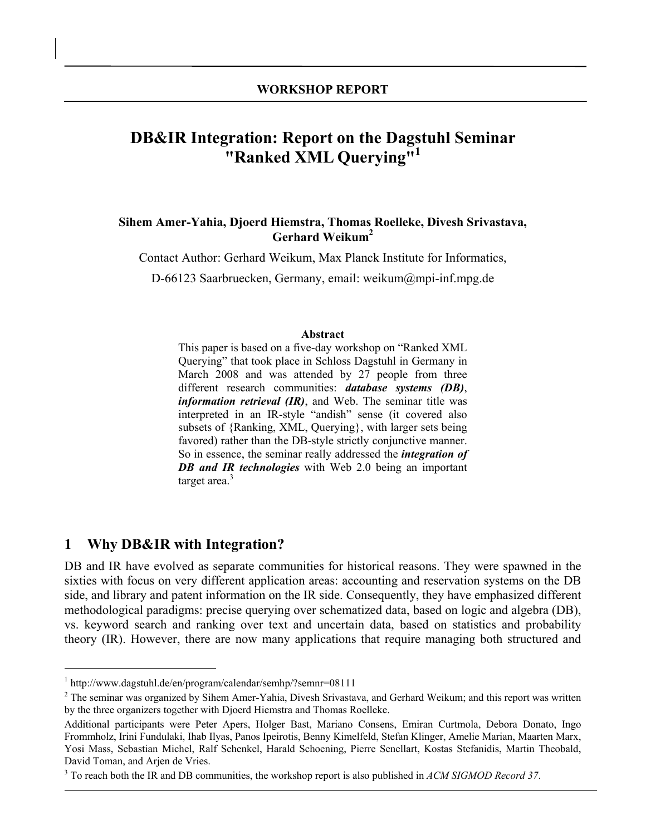# DB&IR Integration: Report on the Dagstuhl Seminar "Ranked XML Querying"<sup>1</sup>

#### Sihem Amer-Yahia, Djoerd Hiemstra, Thomas Roelleke, Divesh Srivastava, Gerhard Weikum<sup>2</sup>

Contact Author: Gerhard Weikum, Max Planck Institute for Informatics,

D-66123 Saarbruecken, Germany, email: weikum@mpi-inf.mpg.de

#### Abstract

This paper is based on a five-day workshop on "Ranked XML Querying" that took place in Schloss Dagstuhl in Germany in March 2008 and was attended by 27 people from three different research communities: *database systems (DB)*, information retrieval (IR), and Web. The seminar title was interpreted in an IR-style "andish" sense (it covered also subsets of {Ranking, XML, Querying}, with larger sets being favored) rather than the DB-style strictly conjunctive manner. So in essence, the seminar really addressed the *integration of* DB and IR technologies with Web 2.0 being an important target area. $3$ 

#### 1 Why DB&IR with Integration?

<u>.</u>

DB and IR have evolved as separate communities for historical reasons. They were spawned in the sixties with focus on very different application areas: accounting and reservation systems on the DB side, and library and patent information on the IR side. Consequently, they have emphasized different methodological paradigms: precise querying over schematized data, based on logic and algebra (DB), vs. keyword search and ranking over text and uncertain data, based on statistics and probability theory (IR). However, there are now many applications that require managing both structured and

<sup>1</sup> http://www.dagstuhl.de/en/program/calendar/semhp/?semnr=08111

<sup>&</sup>lt;sup>2</sup> The seminar was organized by Sihem Amer-Yahia, Divesh Srivastava, and Gerhard Weikum; and this report was written by the three organizers together with Djoerd Hiemstra and Thomas Roelleke.

Additional participants were Peter Apers, Holger Bast, Mariano Consens, Emiran Curtmola, Debora Donato, Ingo Frommholz, Irini Fundulaki, Ihab Ilyas, Panos Ipeirotis, Benny Kimelfeld, Stefan Klinger, Amelie Marian, Maarten Marx, Yosi Mass, Sebastian Michel, Ralf Schenkel, Harald Schoening, Pierre Senellart, Kostas Stefanidis, Martin Theobald, David Toman, and Arjen de Vries.

 $3$  To reach both the IR and DB communities, the workshop report is also published in ACM SIGMOD Record 37.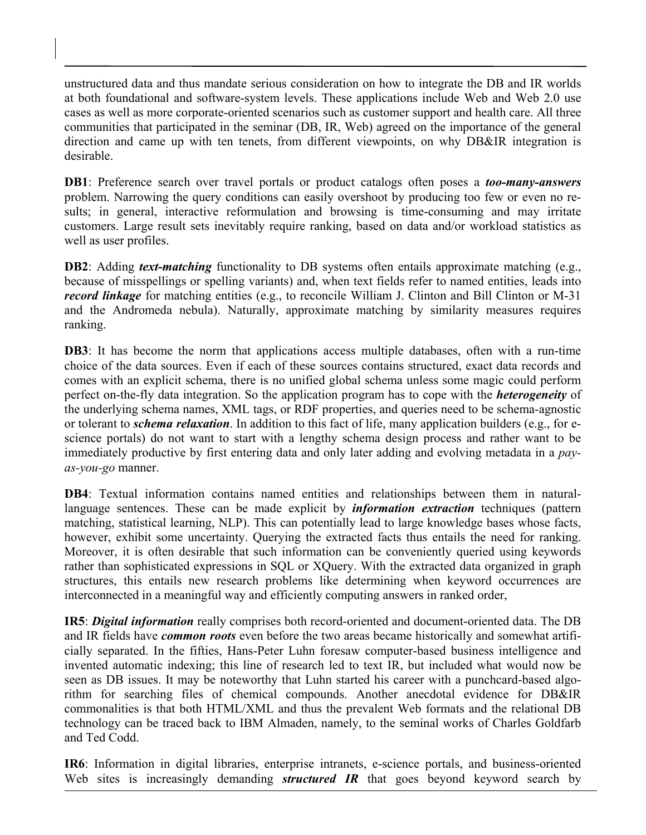unstructured data and thus mandate serious consideration on how to integrate the DB and IR worlds at both foundational and software-system levels. These applications include Web and Web 2.0 use cases as well as more corporate-oriented scenarios such as customer support and health care. All three communities that participated in the seminar (DB, IR, Web) agreed on the importance of the general direction and came up with ten tenets, from different viewpoints, on why DB&IR integration is desirable.

**DB1**: Preference search over travel portals or product catalogs often poses a *too-many-answers* problem. Narrowing the query conditions can easily overshoot by producing too few or even no results; in general, interactive reformulation and browsing is time-consuming and may irritate customers. Large result sets inevitably require ranking, based on data and/or workload statistics as well as user profiles.

**DB2**: Adding *text-matching* functionality to DB systems often entails approximate matching (e.g., because of misspellings or spelling variants) and, when text fields refer to named entities, leads into record linkage for matching entities (e.g., to reconcile William J. Clinton and Bill Clinton or M-31 and the Andromeda nebula). Naturally, approximate matching by similarity measures requires ranking.

DB3: It has become the norm that applications access multiple databases, often with a run-time choice of the data sources. Even if each of these sources contains structured, exact data records and comes with an explicit schema, there is no unified global schema unless some magic could perform perfect on-the-fly data integration. So the application program has to cope with the *heterogeneity* of the underlying schema names, XML tags, or RDF properties, and queries need to be schema-agnostic or tolerant to *schema relaxation*. In addition to this fact of life, many application builders (e.g., for escience portals) do not want to start with a lengthy schema design process and rather want to be immediately productive by first entering data and only later adding and evolving metadata in a *pay*as-you-go manner.

DB4: Textual information contains named entities and relationships between them in naturallanguage sentences. These can be made explicit by *information extraction* techniques (pattern matching, statistical learning, NLP). This can potentially lead to large knowledge bases whose facts, however, exhibit some uncertainty. Querying the extracted facts thus entails the need for ranking. Moreover, it is often desirable that such information can be conveniently queried using keywords rather than sophisticated expressions in SQL or XQuery. With the extracted data organized in graph structures, this entails new research problems like determining when keyword occurrences are interconnected in a meaningful way and efficiently computing answers in ranked order,

IR5: *Digital information* really comprises both record-oriented and document-oriented data. The DB and IR fields have *common roots* even before the two areas became historically and somewhat artificially separated. In the fifties, Hans-Peter Luhn foresaw computer-based business intelligence and invented automatic indexing; this line of research led to text IR, but included what would now be seen as DB issues. It may be noteworthy that Luhn started his career with a punchcard-based algorithm for searching files of chemical compounds. Another anecdotal evidence for DB&IR commonalities is that both HTML/XML and thus the prevalent Web formats and the relational DB technology can be traced back to IBM Almaden, namely, to the seminal works of Charles Goldfarb and Ted Codd.

IR6: Information in digital libraries, enterprise intranets, e-science portals, and business-oriented Web sites is increasingly demanding *structured IR* that goes beyond keyword search by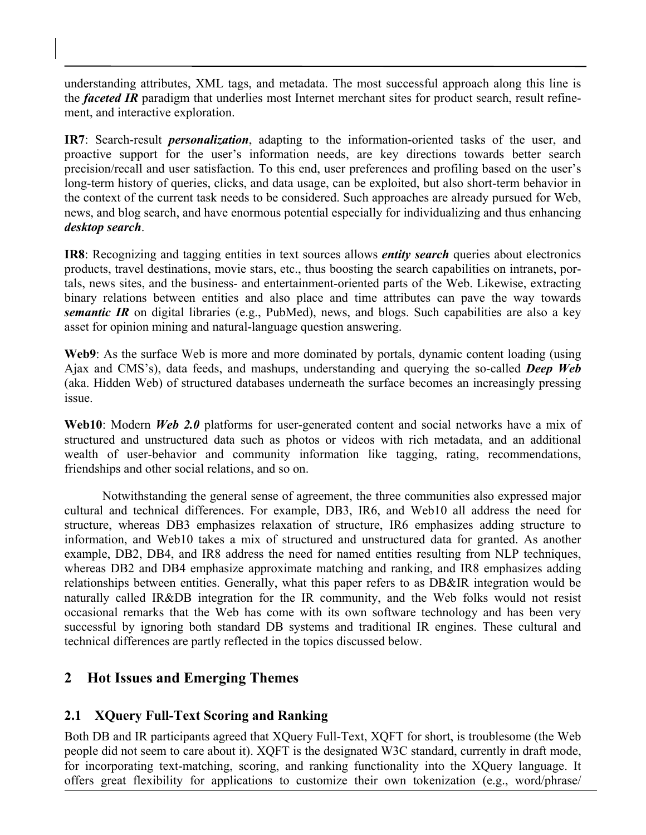understanding attributes, XML tags, and metadata. The most successful approach along this line is the *faceted IR* paradigm that underlies most Internet merchant sites for product search, result refinement, and interactive exploration.

IR7: Search-result *personalization*, adapting to the information-oriented tasks of the user, and proactive support for the user's information needs, are key directions towards better search precision/recall and user satisfaction. To this end, user preferences and profiling based on the user's long-term history of queries, clicks, and data usage, can be exploited, but also short-term behavior in the context of the current task needs to be considered. Such approaches are already pursued for Web, news, and blog search, and have enormous potential especially for individualizing and thus enhancing desktop search.

IR8: Recognizing and tagging entities in text sources allows *entity search* queries about electronics products, travel destinations, movie stars, etc., thus boosting the search capabilities on intranets, portals, news sites, and the business- and entertainment-oriented parts of the Web. Likewise, extracting binary relations between entities and also place and time attributes can pave the way towards semantic IR on digital libraries (e.g., PubMed), news, and blogs. Such capabilities are also a key asset for opinion mining and natural-language question answering.

Web9: As the surface Web is more and more dominated by portals, dynamic content loading (using Ajax and CMS's), data feeds, and mashups, understanding and querying the so-called **Deep Web** (aka. Hidden Web) of structured databases underneath the surface becomes an increasingly pressing issue.

Web10: Modern *Web 2.0* platforms for user-generated content and social networks have a mix of structured and unstructured data such as photos or videos with rich metadata, and an additional wealth of user-behavior and community information like tagging, rating, recommendations, friendships and other social relations, and so on.

Notwithstanding the general sense of agreement, the three communities also expressed major cultural and technical differences. For example, DB3, IR6, and Web10 all address the need for structure, whereas DB3 emphasizes relaxation of structure, IR6 emphasizes adding structure to information, and Web10 takes a mix of structured and unstructured data for granted. As another example, DB2, DB4, and IR8 address the need for named entities resulting from NLP techniques, whereas DB2 and DB4 emphasize approximate matching and ranking, and IR8 emphasizes adding relationships between entities. Generally, what this paper refers to as DB&IR integration would be naturally called IR&DB integration for the IR community, and the Web folks would not resist occasional remarks that the Web has come with its own software technology and has been very successful by ignoring both standard DB systems and traditional IR engines. These cultural and technical differences are partly reflected in the topics discussed below.

## 2 Hot Issues and Emerging Themes

## 2.1 XQuery Full-Text Scoring and Ranking

Both DB and IR participants agreed that XQuery Full-Text, XQFT for short, is troublesome (the Web people did not seem to care about it). XQFT is the designated W3C standard, currently in draft mode, for incorporating text-matching, scoring, and ranking functionality into the XQuery language. It offers great flexibility for applications to customize their own tokenization (e.g., word/phrase/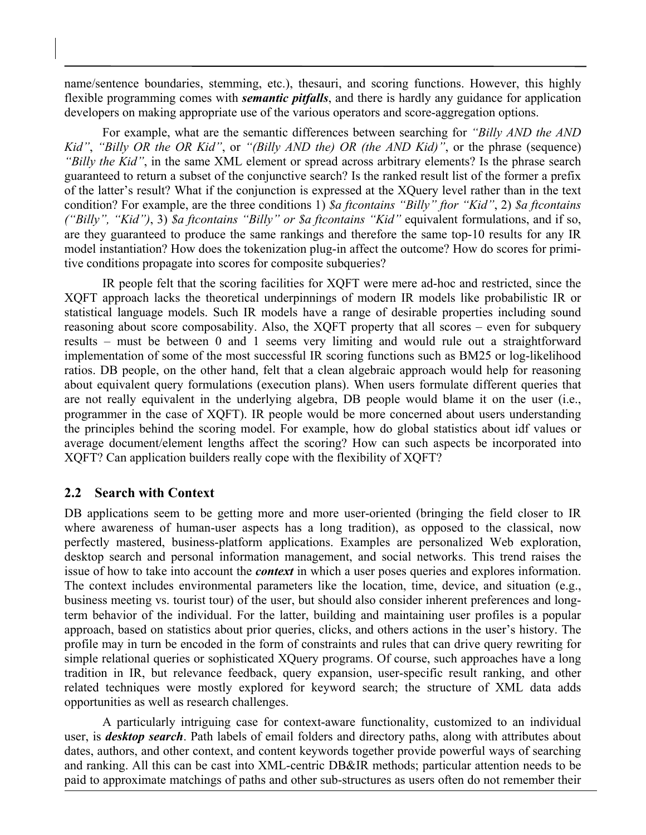name/sentence boundaries, stemming, etc.), thesauri, and scoring functions. However, this highly flexible programming comes with *semantic pitfalls*, and there is hardly any guidance for application developers on making appropriate use of the various operators and score-aggregation options.

For example, what are the semantic differences between searching for "Billy AND the AND Kid", "Billy OR the OR Kid", or "(Billy AND the) OR (the AND Kid)", or the phrase (sequence) "Billy the Kid", in the same XML element or spread across arbitrary elements? Is the phrase search guaranteed to return a subset of the conjunctive search? Is the ranked result list of the former a prefix of the latter's result? What if the conjunction is expressed at the XQuery level rather than in the text condition? For example, are the three conditions 1) Sa ftcontains "Billy" ftor "Kid", 2) Sa ftcontains ("Billy", "Kid"), 3)  $\delta a$  ftcontains "Billy" or  $\delta a$  ftcontains "Kid" equivalent formulations, and if so, are they guaranteed to produce the same rankings and therefore the same top-10 results for any IR model instantiation? How does the tokenization plug-in affect the outcome? How do scores for primitive conditions propagate into scores for composite subqueries?

IR people felt that the scoring facilities for XQFT were mere ad-hoc and restricted, since the XQFT approach lacks the theoretical underpinnings of modern IR models like probabilistic IR or statistical language models. Such IR models have a range of desirable properties including sound reasoning about score composability. Also, the XQFT property that all scores – even for subquery results – must be between 0 and 1 seems very limiting and would rule out a straightforward implementation of some of the most successful IR scoring functions such as BM25 or log-likelihood ratios. DB people, on the other hand, felt that a clean algebraic approach would help for reasoning about equivalent query formulations (execution plans). When users formulate different queries that are not really equivalent in the underlying algebra, DB people would blame it on the user (i.e., programmer in the case of XQFT). IR people would be more concerned about users understanding the principles behind the scoring model. For example, how do global statistics about idf values or average document/element lengths affect the scoring? How can such aspects be incorporated into XQFT? Can application builders really cope with the flexibility of XQFT?

#### 2.2 Search with Context

DB applications seem to be getting more and more user-oriented (bringing the field closer to IR where awareness of human-user aspects has a long tradition), as opposed to the classical, now perfectly mastered, business-platform applications. Examples are personalized Web exploration, desktop search and personal information management, and social networks. This trend raises the issue of how to take into account the *context* in which a user poses queries and explores information. The context includes environmental parameters like the location, time, device, and situation (e.g., business meeting vs. tourist tour) of the user, but should also consider inherent preferences and longterm behavior of the individual. For the latter, building and maintaining user profiles is a popular approach, based on statistics about prior queries, clicks, and others actions in the user's history. The profile may in turn be encoded in the form of constraints and rules that can drive query rewriting for simple relational queries or sophisticated XQuery programs. Of course, such approaches have a long tradition in IR, but relevance feedback, query expansion, user-specific result ranking, and other related techniques were mostly explored for keyword search; the structure of XML data adds opportunities as well as research challenges.

A particularly intriguing case for context-aware functionality, customized to an individual user, is **desktop search**. Path labels of email folders and directory paths, along with attributes about dates, authors, and other context, and content keywords together provide powerful ways of searching and ranking. All this can be cast into XML-centric DB&IR methods; particular attention needs to be paid to approximate matchings of paths and other sub-structures as users often do not remember their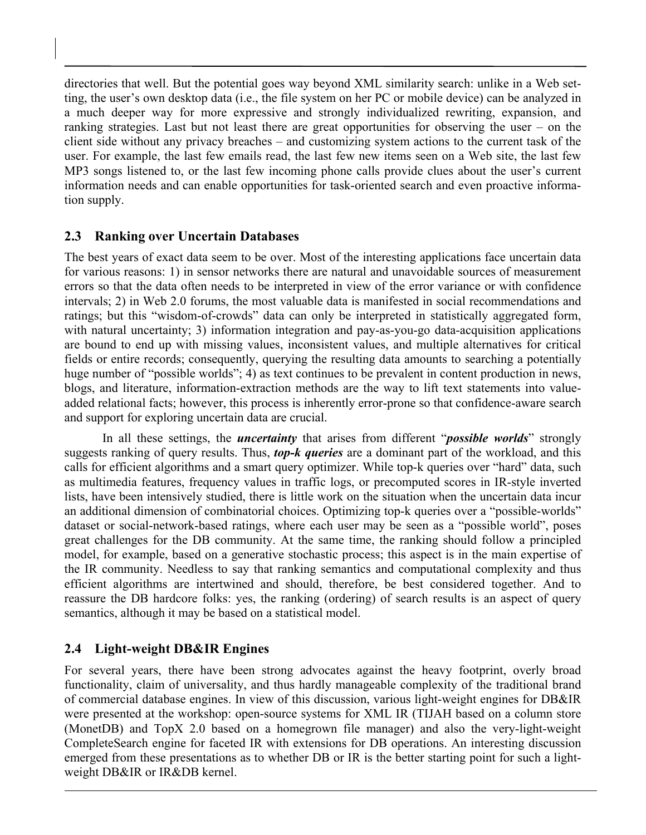directories that well. But the potential goes way beyond XML similarity search: unlike in a Web setting, the user's own desktop data (i.e., the file system on her PC or mobile device) can be analyzed in a much deeper way for more expressive and strongly individualized rewriting, expansion, and ranking strategies. Last but not least there are great opportunities for observing the user – on the client side without any privacy breaches – and customizing system actions to the current task of the user. For example, the last few emails read, the last few new items seen on a Web site, the last few MP3 songs listened to, or the last few incoming phone calls provide clues about the user's current information needs and can enable opportunities for task-oriented search and even proactive information supply.

### 2.3 Ranking over Uncertain Databases

The best years of exact data seem to be over. Most of the interesting applications face uncertain data for various reasons: 1) in sensor networks there are natural and unavoidable sources of measurement errors so that the data often needs to be interpreted in view of the error variance or with confidence intervals; 2) in Web 2.0 forums, the most valuable data is manifested in social recommendations and ratings; but this "wisdom-of-crowds" data can only be interpreted in statistically aggregated form, with natural uncertainty; 3) information integration and pay-as-you-go data-acquisition applications are bound to end up with missing values, inconsistent values, and multiple alternatives for critical fields or entire records; consequently, querying the resulting data amounts to searching a potentially huge number of "possible worlds"; 4) as text continues to be prevalent in content production in news, blogs, and literature, information-extraction methods are the way to lift text statements into valueadded relational facts; however, this process is inherently error-prone so that confidence-aware search and support for exploring uncertain data are crucial.

In all these settings, the *uncertainty* that arises from different "*possible worlds*" strongly suggests ranking of query results. Thus, top-k queries are a dominant part of the workload, and this calls for efficient algorithms and a smart query optimizer. While top-k queries over "hard" data, such as multimedia features, frequency values in traffic logs, or precomputed scores in IR-style inverted lists, have been intensively studied, there is little work on the situation when the uncertain data incur an additional dimension of combinatorial choices. Optimizing top-k queries over a "possible-worlds" dataset or social-network-based ratings, where each user may be seen as a "possible world", poses great challenges for the DB community. At the same time, the ranking should follow a principled model, for example, based on a generative stochastic process; this aspect is in the main expertise of the IR community. Needless to say that ranking semantics and computational complexity and thus efficient algorithms are intertwined and should, therefore, be best considered together. And to reassure the DB hardcore folks: yes, the ranking (ordering) of search results is an aspect of query semantics, although it may be based on a statistical model.

## 2.4 Light-weight DB&IR Engines

For several years, there have been strong advocates against the heavy footprint, overly broad functionality, claim of universality, and thus hardly manageable complexity of the traditional brand of commercial database engines. In view of this discussion, various light-weight engines for DB&IR were presented at the workshop: open-source systems for XML IR (TIJAH based on a column store (MonetDB) and TopX 2.0 based on a homegrown file manager) and also the very-light-weight CompleteSearch engine for faceted IR with extensions for DB operations. An interesting discussion emerged from these presentations as to whether DB or IR is the better starting point for such a lightweight DB&IR or IR&DB kernel.